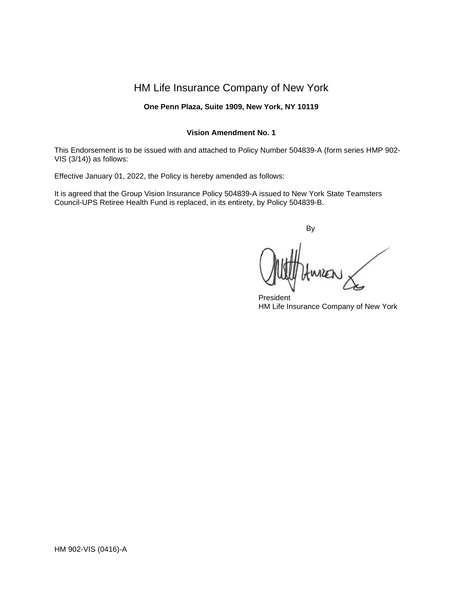# HM Life Insurance Company of New York

# **One Penn Plaza, Suite 1909, New York, NY 10119**

## **Vision Amendment No. 1**

This Endorsement is to be issued with and attached to Policy Number 504839-A (form series HMP 902- VIS (3/14)) as follows:

Effective January 01, 2022, the Policy is hereby amended as follows:

It is agreed that the Group Vision Insurance Policy 504839-A issued to New York State Teamsters Council-UPS Retiree Health Fund is replaced, in its entirety, by Policy 504839-B.

By

President HM Life Insurance Company of New York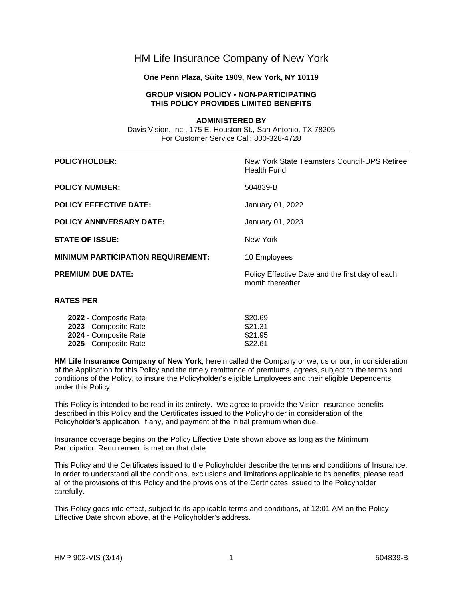# HM Life Insurance Company of New York

## **One Penn Plaza, Suite 1909, New York, NY 10119**

# **GROUP VISION POLICY • NON-PARTICIPATING THIS POLICY PROVIDES LIMITED BENEFITS**

**ADMINISTERED BY** Davis Vision, Inc., 175 E. Houston St., San Antonio, TX 78205 For Customer Service Call: 800-328-4728

| <b>POLICYHOLDER:</b>                      | New York State Teamsters Council-UPS Retiree<br><b>Health Fund</b>  |  |  |
|-------------------------------------------|---------------------------------------------------------------------|--|--|
| <b>POLICY NUMBER:</b>                     | 504839-B                                                            |  |  |
| <b>POLICY EFFECTIVE DATE:</b>             | January 01, 2022                                                    |  |  |
| <b>POLICY ANNIVERSARY DATE:</b>           | January 01, 2023                                                    |  |  |
| <b>STATE OF ISSUE:</b>                    | New York                                                            |  |  |
| <b>MINIMUM PARTICIPATION REQUIREMENT:</b> | 10 Employees                                                        |  |  |
| <b>PREMIUM DUE DATE:</b>                  | Policy Effective Date and the first day of each<br>month thereafter |  |  |
| <b>RATES PER</b>                          |                                                                     |  |  |
| 2022 - Composito Rato                     | ድጋስ 60                                                              |  |  |

| 2022 - Composite Rate | \$20.69 |
|-----------------------|---------|
| 2023 - Composite Rate | \$21.31 |
| 2024 - Composite Rate | \$21.95 |
| 2025 - Composite Rate | \$22.61 |

**HM Life Insurance Company of New York**, herein called the Company or we, us or our, in consideration of the Application for this Policy and the timely remittance of premiums, agrees, subject to the terms and conditions of the Policy, to insure the Policyholder's eligible Employees and their eligible Dependents under this Policy.

This Policy is intended to be read in its entirety. We agree to provide the Vision Insurance benefits described in this Policy and the Certificates issued to the Policyholder in consideration of the Policyholder's application, if any, and payment of the initial premium when due.

Insurance coverage begins on the Policy Effective Date shown above as long as the Minimum Participation Requirement is met on that date.

This Policy and the Certificates issued to the Policyholder describe the terms and conditions of Insurance. In order to understand all the conditions, exclusions and limitations applicable to its benefits, please read all of the provisions of this Policy and the provisions of the Certificates issued to the Policyholder carefully.

This Policy goes into effect, subject to its applicable terms and conditions, at 12:01 AM on the Policy Effective Date shown above, at the Policyholder's address.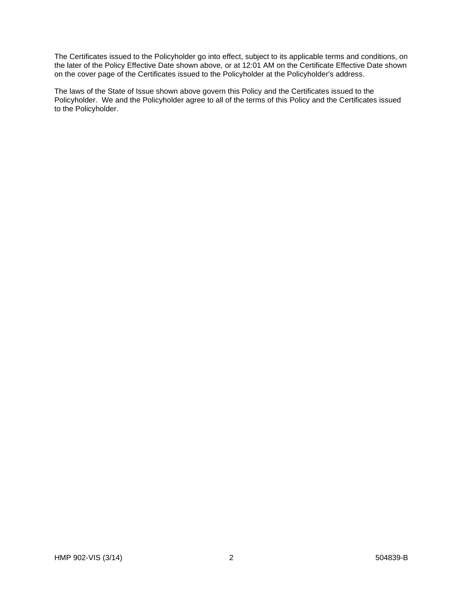The Certificates issued to the Policyholder go into effect, subject to its applicable terms and conditions, on the later of the Policy Effective Date shown above, or at 12:01 AM on the Certificate Effective Date shown on the cover page of the Certificates issued to the Policyholder at the Policyholder's address.

The laws of the State of Issue shown above govern this Policy and the Certificates issued to the Policyholder. We and the Policyholder agree to all of the terms of this Policy and the Certificates issued to the Policyholder.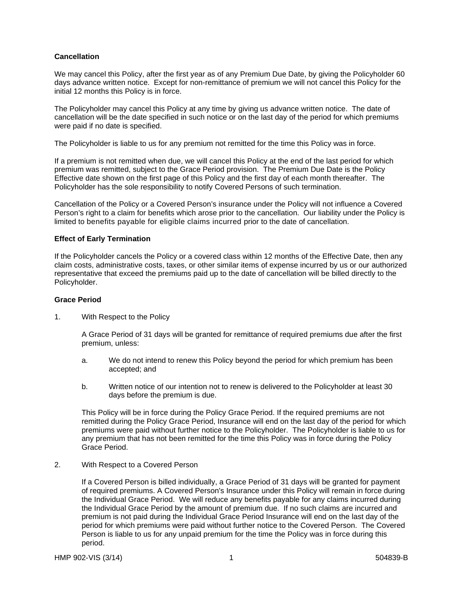## **Cancellation**

We may cancel this Policy, after the first year as of any Premium Due Date, by giving the Policyholder 60 days advance written notice. Except for non-remittance of premium we will not cancel this Policy for the initial 12 months this Policy is in force.

The Policyholder may cancel this Policy at any time by giving us advance written notice. The date of cancellation will be the date specified in such notice or on the last day of the period for which premiums were paid if no date is specified.

The Policyholder is liable to us for any premium not remitted for the time this Policy was in force.

If a premium is not remitted when due, we will cancel this Policy at the end of the last period for which premium was remitted, subject to the Grace Period provision. The Premium Due Date is the Policy Effective date shown on the first page of this Policy and the first day of each month thereafter. The Policyholder has the sole responsibility to notify Covered Persons of such termination.

Cancellation of the Policy or a Covered Person's insurance under the Policy will not influence a Covered Person's right to a claim for benefits which arose prior to the cancellation. Our liability under the Policy is limited to benefits payable for eligible claims incurred prior to the date of cancellation.

## **Effect of Early Termination**

If the Policyholder cancels the Policy or a covered class within 12 months of the Effective Date, then any claim costs, administrative costs, taxes, or other similar items of expense incurred by us or our authorized representative that exceed the premiums paid up to the date of cancellation will be billed directly to the Policyholder.

## **Grace Period**

1. With Respect to the Policy

A Grace Period of 31 days will be granted for remittance of required premiums due after the first premium, unless:

- a. We do not intend to renew this Policy beyond the period for which premium has been accepted; and
- b. Written notice of our intention not to renew is delivered to the Policyholder at least 30 days before the premium is due.

This Policy will be in force during the Policy Grace Period. If the required premiums are not remitted during the Policy Grace Period, Insurance will end on the last day of the period for which premiums were paid without further notice to the Policyholder. The Policyholder is liable to us for any premium that has not been remitted for the time this Policy was in force during the Policy Grace Period.

2. With Respect to a Covered Person

If a Covered Person is billed individually, a Grace Period of 31 days will be granted for payment of required premiums. A Covered Person's Insurance under this Policy will remain in force during the Individual Grace Period. We will reduce any benefits payable for any claims incurred during the Individual Grace Period by the amount of premium due. If no such claims are incurred and premium is not paid during the Individual Grace Period Insurance will end on the last day of the period for which premiums were paid without further notice to the Covered Person. The Covered Person is liable to us for any unpaid premium for the time the Policy was in force during this period.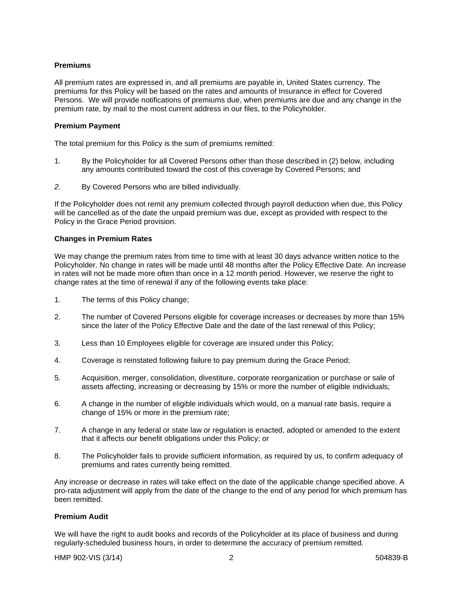#### **Premiums**

All premium rates are expressed in, and all premiums are payable in, United States currency. The premiums for this Policy will be based on the rates and amounts of Insurance in effect for Covered Persons. We will provide notifications of premiums due, when premiums are due and any change in the premium rate, by mail to the most current address in our files, to the Policyholder.

#### **Premium Payment**

The total premium for this Policy is the sum of premiums remitted:

- 1. By the Policyholder for all Covered Persons other than those described in (2) below, including any amounts contributed toward the cost of this coverage by Covered Persons; and
- *2.* By Covered Persons who are billed individually.

If the Policyholder does not remit any premium collected through payroll deduction when due, this Policy will be cancelled as of the date the unpaid premium was due, except as provided with respect to the Policy in the Grace Period provision.

#### **Changes in Premium Rates**

We may change the premium rates from time to time with at least 30 days advance written notice to the Policyholder. No change in rates will be made until 48 months after the Policy Effective Date. An increase in rates will not be made more often than once in a 12 month period. However, we reserve the right to change rates at the time of renewal if any of the following events take place:

- 1. The terms of this Policy change;
- 2. The number of Covered Persons eligible for coverage increases or decreases by more than 15% since the later of the Policy Effective Date and the date of the last renewal of this Policy;
- 3. Less than 10 Employees eligible for coverage are insured under this Policy;
- 4. Coverage is reinstated following failure to pay premium during the Grace Period;
- 5. Acquisition, merger, consolidation, divestiture, corporate reorganization or purchase or sale of assets affecting, increasing or decreasing by 15% or more the number of eligible individuals;
- 6. A change in the number of eligible individuals which would, on a manual rate basis, require a change of 15% or more in the premium rate;
- 7. A change in any federal or state law or regulation is enacted, adopted or amended to the extent that it affects our benefit obligations under this Policy; or
- 8. The Policyholder fails to provide sufficient information, as required by us, to confirm adequacy of premiums and rates currently being remitted.

Any increase or decrease in rates will take effect on the date of the applicable change specified above. A pro-rata adjustment will apply from the date of the change to the end of any period for which premium has been remitted.

#### **Premium Audit**

We will have the right to audit books and records of the Policyholder at its place of business and during regularly-scheduled business hours, in order to determine the accuracy of premium remitted.

HMP 902-VIS (3/14) 2 504839-B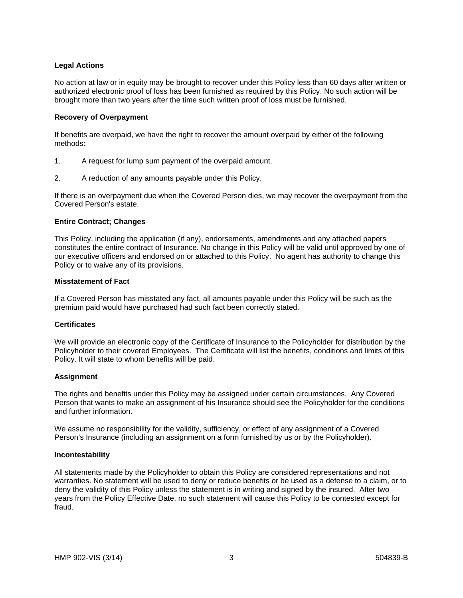## **Legal Actions**

No action at law or in equity may be brought to recover under this Policy less than 60 days after written or authorized electronic proof of loss has been furnished as required by this Policy. No such action will be brought more than two years after the time such written proof of loss must be furnished.

## **Recovery of Overpayment**

If benefits are overpaid, we have the right to recover the amount overpaid by either of the following methods:

- 1. A request for lump sum payment of the overpaid amount.
- 2. A reduction of any amounts payable under this Policy.

If there is an overpayment due when the Covered Person dies, we may recover the overpayment from the Covered Person's estate.

#### **Entire Contract; Changes**

This Policy, including the application (if any), endorsements, amendments and any attached papers constitutes the entire contract of Insurance. No change in this Policy will be valid until approved by one of our executive officers and endorsed on or attached to this Policy. No agent has authority to change this Policy or to waive any of its provisions.

#### **Misstatement of Fact**

If a Covered Person has misstated any fact, all amounts payable under this Policy will be such as the premium paid would have purchased had such fact been correctly stated.

#### **Certificates**

We will provide an electronic copy of the Certificate of Insurance to the Policyholder for distribution by the Policyholder to their covered Employees. The Certificate will list the benefits, conditions and limits of this Policy. It will state to whom benefits will be paid.

#### **Assignment**

The rights and benefits under this Policy may be assigned under certain circumstances. Any Covered Person that wants to make an assignment of his Insurance should see the Policyholder for the conditions and further information.

We assume no responsibility for the validity, sufficiency, or effect of any assignment of a Covered Person's Insurance (including an assignment on a form furnished by us or by the Policyholder).

#### **Incontestability**

All statements made by the Policyholder to obtain this Policy are considered representations and not warranties. No statement will be used to deny or reduce benefits or be used as a defense to a claim, or to deny the validity of this Policy unless the statement is in writing and signed by the insured. After two years from the Policy Effective Date, no such statement will cause this Policy to be contested except for fraud.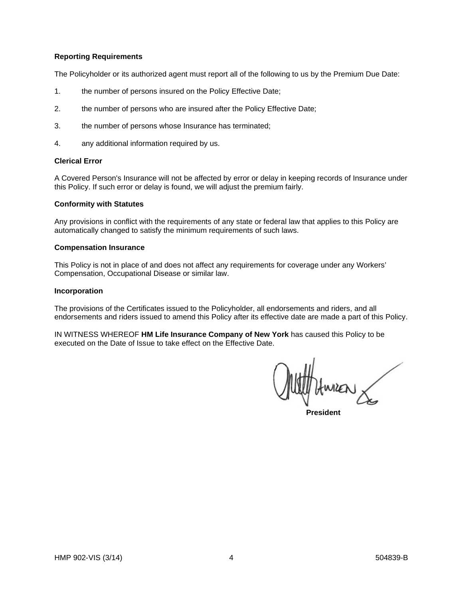#### **Reporting Requirements**

The Policyholder or its authorized agent must report all of the following to us by the Premium Due Date:

- 1. the number of persons insured on the Policy Effective Date;
- 2. the number of persons who are insured after the Policy Effective Date;
- 3. the number of persons whose Insurance has terminated;
- 4. any additional information required by us.

#### **Clerical Error**

A Covered Person's Insurance will not be affected by error or delay in keeping records of Insurance under this Policy. If such error or delay is found, we will adjust the premium fairly.

## **Conformity with Statutes**

Any provisions in conflict with the requirements of any state or federal law that applies to this Policy are automatically changed to satisfy the minimum requirements of such laws.

#### **Compensation Insurance**

This Policy is not in place of and does not affect any requirements for coverage under any Workers' Compensation, Occupational Disease or similar law.

#### **Incorporation**

The provisions of the Certificates issued to the Policyholder, all endorsements and riders, and all endorsements and riders issued to amend this Policy after its effective date are made a part of this Policy.

IN WITNESS WHEREOF **HM Life Insurance Company of New York** has caused this Policy to be executed on the Date of Issue to take effect on the Effective Date.

**President**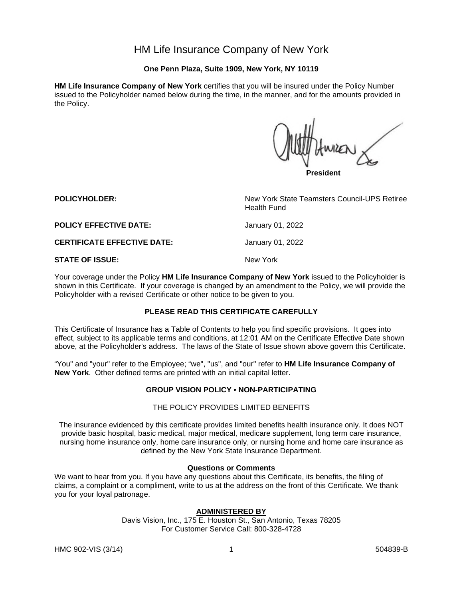# HM Life Insurance Company of New York

# **One Penn Plaza, Suite 1909, New York, NY 10119**

**HM Life Insurance Company of New York** certifies that you will be insured under the Policy Number issued to the Policyholder named below during the time, in the manner, and for the amounts provided in the Policy.

**President**

**POLICYHOLDER:** New York State Teamsters Council-UPS Retiree Health Fund **POLICY EFFECTIVE DATE:** January 01, 2022 **CERTIFICATE EFFECTIVE DATE:** January 01, 2022 **STATE OF ISSUE:** New York

Your coverage under the Policy **HM Life Insurance Company of New York** issued to the Policyholder is shown in this Certificate. If your coverage is changed by an amendment to the Policy, we will provide the Policyholder with a revised Certificate or other notice to be given to you.

# **PLEASE READ THIS CERTIFICATE CAREFULLY**

This Certificate of Insurance has a Table of Contents to help you find specific provisions. It goes into effect, subject to its applicable terms and conditions, at 12:01 AM on the Certificate Effective Date shown above, at the Policyholder's address. The laws of the State of Issue shown above govern this Certificate.

"You" and "your" refer to the Employee; "we", "us", and "our" refer to **HM Life Insurance Company of New York**. Other defined terms are printed with an initial capital letter.

#### **GROUP VISION POLICY • NON-PARTICIPATING**

#### THE POLICY PROVIDES LIMITED BENEFITS

The insurance evidenced by this certificate provides limited benefits health insurance only. It does NOT provide basic hospital, basic medical, major medical, medicare supplement, long term care insurance, nursing home insurance only, home care insurance only, or nursing home and home care insurance as defined by the New York State Insurance Department.

#### **Questions or Comments**

We want to hear from you. If you have any questions about this Certificate, its benefits, the filing of claims, a complaint or a compliment, write to us at the address on the front of this Certificate. We thank you for your loyal patronage.

# **ADMINISTERED BY**

Davis Vision, Inc., 175 E. Houston St., San Antonio, Texas 78205 For Customer Service Call: 800-328-4728

HMC 902-VIS (3/14) 2008 1202 1203 1204839-B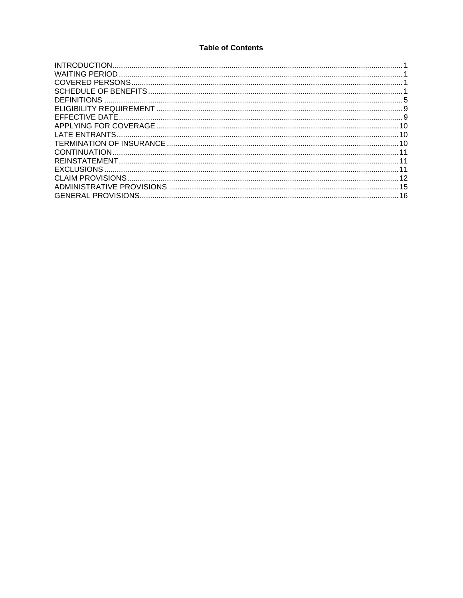# **Table of Contents**

| 16 |
|----|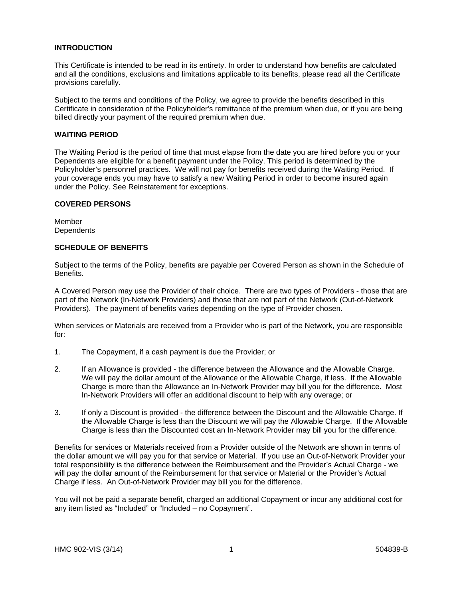#### **INTRODUCTION**

This Certificate is intended to be read in its entirety. In order to understand how benefits are calculated and all the conditions, exclusions and limitations applicable to its benefits, please read all the Certificate provisions carefully.

Subject to the terms and conditions of the Policy, we agree to provide the benefits described in this Certificate in consideration of the Policyholder's remittance of the premium when due, or if you are being billed directly your payment of the required premium when due.

#### **WAITING PERIOD**

The Waiting Period is the period of time that must elapse from the date you are hired before you or your Dependents are eligible for a benefit payment under the Policy. This period is determined by the Policyholder's personnel practices. We will not pay for benefits received during the Waiting Period. If your coverage ends you may have to satisfy a new Waiting Period in order to become insured again under the Policy. See Reinstatement for exceptions.

#### **COVERED PERSONS**

Member **Dependents** 

#### **SCHEDULE OF BENEFITS**

Subject to the terms of the Policy, benefits are payable per Covered Person as shown in the Schedule of Benefits.

A Covered Person may use the Provider of their choice. There are two types of Providers - those that are part of the Network (In-Network Providers) and those that are not part of the Network (Out-of-Network Providers). The payment of benefits varies depending on the type of Provider chosen.

When services or Materials are received from a Provider who is part of the Network, you are responsible for:

- 1. The Copayment, if a cash payment is due the Provider; or
- 2. If an Allowance is provided the difference between the Allowance and the Allowable Charge. We will pay the dollar amount of the Allowance or the Allowable Charge, if less. If the Allowable Charge is more than the Allowance an In-Network Provider may bill you for the difference. Most In-Network Providers will offer an additional discount to help with any overage; or
- 3. If only a Discount is provided the difference between the Discount and the Allowable Charge. If the Allowable Charge is less than the Discount we will pay the Allowable Charge. If the Allowable Charge is less than the Discounted cost an In-Network Provider may bill you for the difference.

Benefits for services or Materials received from a Provider outside of the Network are shown in terms of the dollar amount we will pay you for that service or Material. If you use an Out-of-Network Provider your total responsibility is the difference between the Reimbursement and the Provider's Actual Charge - we will pay the dollar amount of the Reimbursement for that service or Material or the Provider's Actual Charge if less. An Out-of-Network Provider may bill you for the difference.

You will not be paid a separate benefit, charged an additional Copayment or incur any additional cost for any item listed as "Included" or "Included – no Copayment".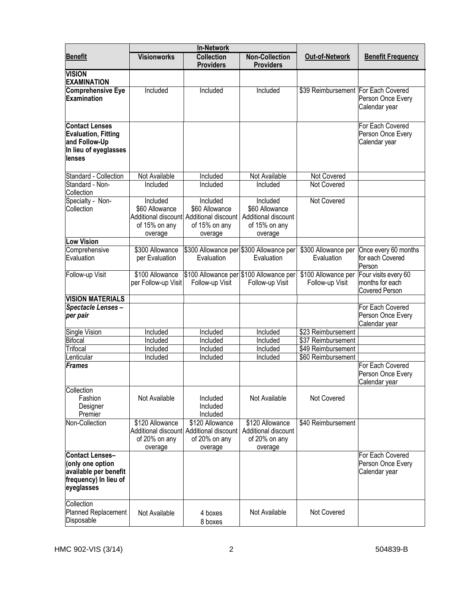|                                                                                                            | <b>In-Network</b>                                      |                                                                                                   |                                                                               |                                        |                                                           |
|------------------------------------------------------------------------------------------------------------|--------------------------------------------------------|---------------------------------------------------------------------------------------------------|-------------------------------------------------------------------------------|----------------------------------------|-----------------------------------------------------------|
| <b>Benefit</b>                                                                                             | <b>Visionworks</b>                                     | <b>Collection</b><br><b>Providers</b>                                                             | <b>Non-Collection</b><br><b>Providers</b>                                     | <b>Out-of-Network</b>                  | <b>Benefit Frequency</b>                                  |
| <b>VISION</b><br><b>EXAMINATION</b>                                                                        |                                                        |                                                                                                   |                                                                               |                                        |                                                           |
| <b>Comprehensive Eye</b><br>Examination                                                                    | Included                                               | Included                                                                                          | Included                                                                      | \$39 Reimbursement For Each Covered    | Person Once Every<br>Calendar year                        |
| <b>Contact Lenses</b><br><b>Evaluation, Fitting</b><br>and Follow-Up<br>In lieu of eyeglasses<br>lenses    |                                                        |                                                                                                   |                                                                               |                                        | For Each Covered<br>Person Once Every<br>Calendar year    |
| Standard - Collection                                                                                      | Not Available                                          | Included                                                                                          | Not Available                                                                 | Not Covered                            |                                                           |
| Standard - Non-<br>Collection                                                                              | Included                                               | Included                                                                                          | Included                                                                      | <b>Not Covered</b>                     |                                                           |
| Specialty - Non-<br>Collection                                                                             | Included<br>\$60 Allowance<br>of 15% on any<br>overage | Included<br>\$60 Allowance<br>Additional discount Additional discount<br>of 15% on any<br>overage | Included<br>\$60 Allowance<br>Additional discount<br>of 15% on any<br>overage | Not Covered                            |                                                           |
| <b>Low Vision</b>                                                                                          |                                                        |                                                                                                   |                                                                               |                                        |                                                           |
| Comprehensive<br>Evaluation                                                                                | \$300 Allowance<br>per Evaluation                      | Evaluation                                                                                        | \$300 Allowance per \$300 Allowance per<br>Evaluation                         | \$300 Allowance per<br>Evaluation      | Once every 60 months<br>for each Covered<br>Person        |
| Follow-up Visit                                                                                            | \$100 Allowance<br>per Follow-up Visit                 | Follow-up Visit                                                                                   | \$100 Allowance per \$100 Allowance per<br>Follow-up Visit                    | \$100 Allowance per<br>Follow-up Visit | Four visits every 60<br>months for each<br>Covered Person |
| <b>VISION MATERIALS</b>                                                                                    |                                                        |                                                                                                   |                                                                               |                                        |                                                           |
| Spectacle Lenses-<br>per pair                                                                              |                                                        |                                                                                                   |                                                                               |                                        | For Each Covered<br>Person Once Every<br>Calendar year    |
| Single Vision                                                                                              | Included                                               | Included                                                                                          | Included                                                                      | \$23 Reimbursement                     |                                                           |
| <b>Bifocal</b>                                                                                             | Included                                               | Included                                                                                          | Included                                                                      | \$37 Reimbursement                     |                                                           |
| <b>Trifocal</b>                                                                                            | Included                                               | Included                                                                                          | Included                                                                      | \$49 Reimbursement                     |                                                           |
| <b>enticular</b>                                                                                           | Included                                               | Included                                                                                          | Included                                                                      | \$60 Reimbursement                     |                                                           |
| <b>Frames</b>                                                                                              |                                                        |                                                                                                   |                                                                               |                                        | For Each Covered<br>Person Once Every<br>Calendar year    |
| Collection<br>Fashion<br>Designer<br>Premier                                                               | Not Available                                          | Included<br>Included<br>Included                                                                  | Not Available                                                                 | Not Covered                            |                                                           |
| Non-Collection                                                                                             | \$120 Allowance<br>of 20% on any<br>overage            | \$120 Allowance<br>Additional discount Additional discount<br>of 20% on any<br>overage            | \$120 Allowance<br>Additional discount<br>of 20% on any<br>overage            | \$40 Reimbursement                     |                                                           |
| <b>Contact Lenses-</b><br>(only one option<br>available per benefit<br>frequency) In lieu of<br>eyeglasses |                                                        |                                                                                                   |                                                                               |                                        | For Each Covered<br>Person Once Every<br>Calendar year    |
| Collection<br>Planned Replacement<br>Disposable                                                            | Not Available                                          | 4 boxes<br>8 boxes                                                                                | Not Available                                                                 | Not Covered                            |                                                           |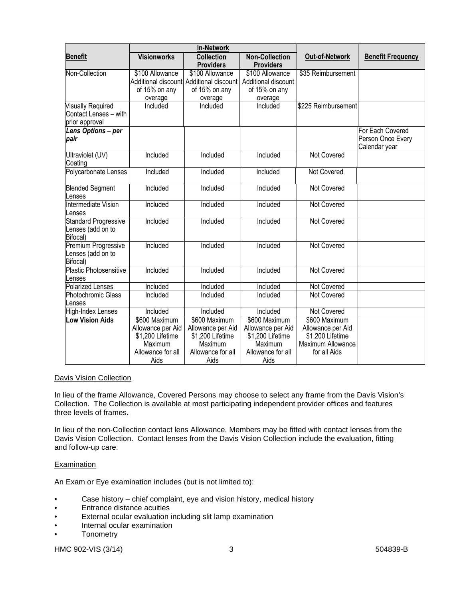|                                                              | <b>In-Network</b>                                |                                                  |                                                  |                                                            |                                                        |
|--------------------------------------------------------------|--------------------------------------------------|--------------------------------------------------|--------------------------------------------------|------------------------------------------------------------|--------------------------------------------------------|
| <b>Benefit</b>                                               | <b>Visionworks</b>                               | <b>Collection</b><br><b>Providers</b>            | <b>Non-Collection</b><br><b>Providers</b>        | <b>Out-of-Network</b>                                      | <b>Benefit Frequency</b>                               |
| Non-Collection                                               | \$100 Allowance                                  | \$100 Allowance                                  | \$100 Allowance                                  | \$35 Reimbursement                                         |                                                        |
|                                                              |                                                  | Additional discount Additional discount          | Additional discount                              |                                                            |                                                        |
|                                                              | of 15% on any                                    | of 15% on any                                    | of 15% on any                                    |                                                            |                                                        |
|                                                              | overage                                          | overage                                          | overage                                          |                                                            |                                                        |
| <b>Visually Required</b>                                     | Included                                         | Included                                         | Included                                         | \$225 Reimbursement                                        |                                                        |
| Contact Lenses - with                                        |                                                  |                                                  |                                                  |                                                            |                                                        |
| prior approval                                               |                                                  |                                                  |                                                  |                                                            |                                                        |
| Lens Options - per<br>pair                                   |                                                  |                                                  |                                                  |                                                            | For Each Covered<br>Person Once Every<br>Calendar year |
| Ultraviolet (UV)<br>Coating                                  | Included                                         | Included                                         | Included                                         | <b>Not Covered</b>                                         |                                                        |
| Polycarbonate Lenses                                         | Included                                         | Included                                         | Included                                         | <b>Not Covered</b>                                         |                                                        |
| <b>Blended Segment</b><br>Lenses                             | Included                                         | Included                                         | Included                                         | <b>Not Covered</b>                                         |                                                        |
| Intermediate Vision<br>Lenses                                | Included                                         | Included                                         | Included                                         | <b>Not Covered</b>                                         |                                                        |
| <b>Standard Progressive</b><br>Lenses (add on to<br>Bifocal) | Included                                         | Included                                         | Included                                         | <b>Not Covered</b>                                         |                                                        |
| <b>Premium Progressive</b><br>Lenses (add on to<br>Bifocal)  | Included                                         | Included                                         | Included                                         | <b>Not Covered</b>                                         |                                                        |
| Plastic Photosensitive<br>Lenses                             | Included                                         | Included                                         | Included                                         | <b>Not Covered</b>                                         |                                                        |
| <b>Polarized Lenses</b>                                      | Included                                         | Included                                         | Included                                         | <b>Not Covered</b>                                         |                                                        |
| Photochromic Glass<br>Lenses                                 | <b>Included</b>                                  | Included                                         | Included                                         | <b>Not Covered</b>                                         |                                                        |
| High-Index Lenses                                            | Included                                         | Included                                         | Included                                         | Not Covered                                                |                                                        |
| <b>Low Vision Aids</b>                                       | \$600 Maximum                                    | \$600 Maximum                                    | \$600 Maximum                                    | \$600 Maximum                                              |                                                        |
|                                                              | Allowance per Aid<br>\$1,200 Lifetime<br>Maximum | Allowance per Aid<br>\$1,200 Lifetime<br>Maximum | Allowance per Aid<br>\$1,200 Lifetime<br>Maximum | Allowance per Aid<br>\$1,200 Lifetime<br>Maximum Allowance |                                                        |
|                                                              | Allowance for all<br>Aids                        | Allowance for all<br>Aids                        | Allowance for all<br>Aids                        | for all Aids                                               |                                                        |

## Davis Vision Collection

In lieu of the frame Allowance, Covered Persons may choose to select any frame from the Davis Vision's Collection. The Collection is available at most participating independent provider offices and features three levels of frames.

In lieu of the non-Collection contact lens Allowance, Members may be fitted with contact lenses from the Davis Vision Collection. Contact lenses from the Davis Vision Collection include the evaluation, fitting and follow-up care.

#### **Examination**

An Exam or Eye examination includes (but is not limited to):

- Case history chief complaint, eye and vision history, medical history
- Entrance distance acuities
- External ocular evaluation including slit lamp examination
- Internal ocular examination
- **Tonometry**

HMC 902-VIS (3/14) 3 3 504839-B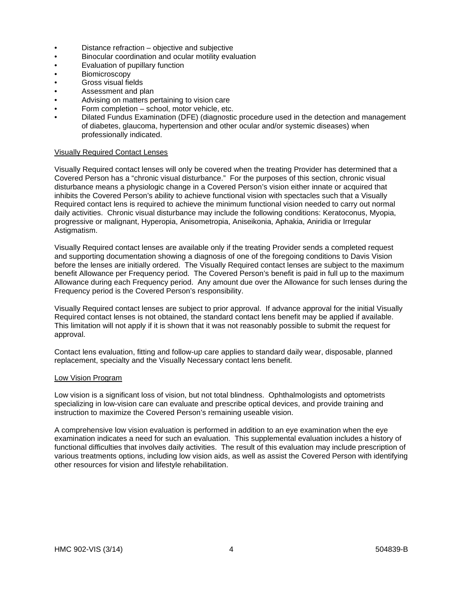- Distance refraction objective and subjective
- Binocular coordination and ocular motility evaluation
- Evaluation of pupillary function
- Biomicroscopy
- Gross visual fields
- Assessment and plan
- Advising on matters pertaining to vision care
- Form completion school, motor vehicle, etc.
- Dilated Fundus Examination (DFE) (diagnostic procedure used in the detection and management of diabetes, glaucoma, hypertension and other ocular and/or systemic diseases) when professionally indicated.

## Visually Required Contact Lenses

Visually Required contact lenses will only be covered when the treating Provider has determined that a Covered Person has a "chronic visual disturbance." For the purposes of this section, chronic visual disturbance means a physiologic change in a Covered Person's vision either innate or acquired that inhibits the Covered Person's ability to achieve functional vision with spectacles such that a Visually Required contact lens is required to achieve the minimum functional vision needed to carry out normal daily activities. Chronic visual disturbance may include the following conditions: Keratoconus, Myopia, progressive or malignant, Hyperopia, Anisometropia, Aniseikonia, Aphakia, Aniridia or Irregular Astigmatism.

Visually Required contact lenses are available only if the treating Provider sends a completed request and supporting documentation showing a diagnosis of one of the foregoing conditions to Davis Vision before the lenses are initially ordered. The Visually Required contact lenses are subject to the maximum benefit Allowance per Frequency period. The Covered Person's benefit is paid in full up to the maximum Allowance during each Frequency period. Any amount due over the Allowance for such lenses during the Frequency period is the Covered Person's responsibility.

Visually Required contact lenses are subject to prior approval. If advance approval for the initial Visually Required contact lenses is not obtained, the standard contact lens benefit may be applied if available. This limitation will not apply if it is shown that it was not reasonably possible to submit the request for approval.

Contact lens evaluation, fitting and follow-up care applies to standard daily wear, disposable, planned replacement, specialty and the Visually Necessary contact lens benefit.

#### Low Vision Program

Low vision is a significant loss of vision, but not total blindness. Ophthalmologists and optometrists specializing in low-vision care can evaluate and prescribe optical devices, and provide training and instruction to maximize the Covered Person's remaining useable vision.

A comprehensive low vision evaluation is performed in addition to an eye examination when the eye examination indicates a need for such an evaluation. This supplemental evaluation includes a history of functional difficulties that involves daily activities. The result of this evaluation may include prescription of various treatments options, including low vision aids, as well as assist the Covered Person with identifying other resources for vision and lifestyle rehabilitation.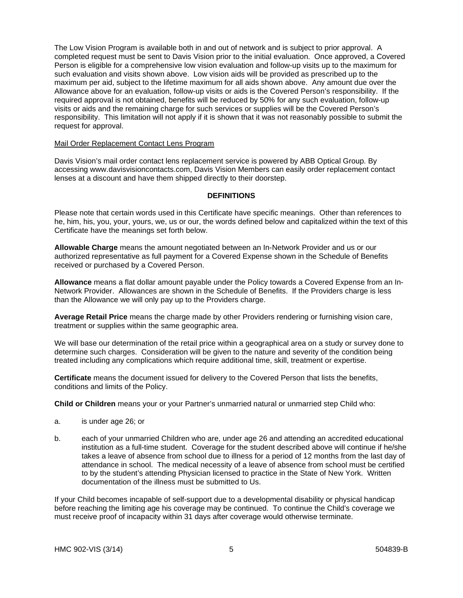The Low Vision Program is available both in and out of network and is subject to prior approval. A completed request must be sent to Davis Vision prior to the initial evaluation. Once approved, a Covered Person is eligible for a comprehensive low vision evaluation and follow-up visits up to the maximum for such evaluation and visits shown above. Low vision aids will be provided as prescribed up to the maximum per aid, subject to the lifetime maximum for all aids shown above. Any amount due over the Allowance above for an evaluation, follow-up visits or aids is the Covered Person's responsibility. If the required approval is not obtained, benefits will be reduced by 50% for any such evaluation, follow-up visits or aids and the remaining charge for such services or supplies will be the Covered Person's responsibility. This limitation will not apply if it is shown that it was not reasonably possible to submit the request for approval.

#### Mail Order Replacement Contact Lens Program

Davis Vision's mail order contact lens replacement service is powered by ABB Optical Group. By accessing www.davisvisioncontacts.com, Davis Vision Members can easily order replacement contact lenses at a discount and have them shipped directly to their doorstep.

#### **DEFINITIONS**

Please note that certain words used in this Certificate have specific meanings. Other than references to he, him, his, you, your, yours, we, us or our, the words defined below and capitalized within the text of this Certificate have the meanings set forth below.

**Allowable Charge** means the amount negotiated between an In-Network Provider and us or our authorized representative as full payment for a Covered Expense shown in the Schedule of Benefits received or purchased by a Covered Person.

**Allowance** means a flat dollar amount payable under the Policy towards a Covered Expense from an In-Network Provider. Allowances are shown in the Schedule of Benefits. If the Providers charge is less than the Allowance we will only pay up to the Providers charge.

**Average Retail Price** means the charge made by other Providers rendering or furnishing vision care, treatment or supplies within the same geographic area.

We will base our determination of the retail price within a geographical area on a study or survey done to determine such charges. Consideration will be given to the nature and severity of the condition being treated including any complications which require additional time, skill, treatment or expertise.

**Certificate** means the document issued for delivery to the Covered Person that lists the benefits, conditions and limits of the Policy.

**Child or Children** means your or your Partner's unmarried natural or unmarried step Child who:

- a. is under age 26; or
- b. each of your unmarried Children who are, under age 26 and attending an accredited educational institution as a full-time student. Coverage for the student described above will continue if he/she takes a leave of absence from school due to illness for a period of 12 months from the last day of attendance in school. The medical necessity of a leave of absence from school must be certified to by the student's attending Physician licensed to practice in the State of New York. Written documentation of the illness must be submitted to Us.

If your Child becomes incapable of self-support due to a developmental disability or physical handicap before reaching the limiting age his coverage may be continued. To continue the Child's coverage we must receive proof of incapacity within 31 days after coverage would otherwise terminate.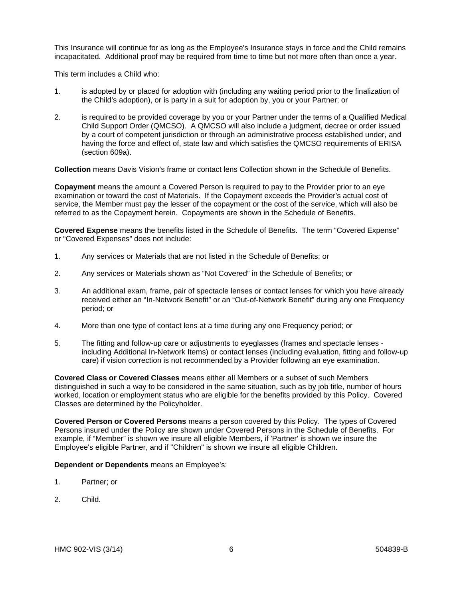This Insurance will continue for as long as the Employee's Insurance stays in force and the Child remains incapacitated. Additional proof may be required from time to time but not more often than once a year.

This term includes a Child who:

- 1. is adopted by or placed for adoption with (including any waiting period prior to the finalization of the Child's adoption), or is party in a suit for adoption by, you or your Partner; or
- 2. is required to be provided coverage by you or your Partner under the terms of a Qualified Medical Child Support Order (QMCSO). A QMCSO will also include a judgment, decree or order issued by a court of competent jurisdiction or through an administrative process established under, and having the force and effect of, state law and which satisfies the QMCSO requirements of ERISA (section 609a).

**Collection** means Davis Vision's frame or contact lens Collection shown in the Schedule of Benefits.

**Copayment** means the amount a Covered Person is required to pay to the Provider prior to an eye examination or toward the cost of Materials. If the Copayment exceeds the Provider's actual cost of service, the Member must pay the lesser of the copayment or the cost of the service, which will also be referred to as the Copayment herein. Copayments are shown in the Schedule of Benefits.

**Covered Expense** means the benefits listed in the Schedule of Benefits. The term "Covered Expense" or "Covered Expenses" does not include:

- 1. Any services or Materials that are not listed in the Schedule of Benefits; or
- 2. Any services or Materials shown as "Not Covered" in the Schedule of Benefits; or
- 3. An additional exam, frame, pair of spectacle lenses or contact lenses for which you have already received either an "In-Network Benefit" or an "Out-of-Network Benefit" during any one Frequency period; or
- 4. More than one type of contact lens at a time during any one Frequency period; or
- 5. The fitting and follow-up care or adjustments to eyeglasses (frames and spectacle lenses including Additional In-Network Items) or contact lenses (including evaluation, fitting and follow-up care) if vision correction is not recommended by a Provider following an eye examination.

**Covered Class or Covered Classes** means either all Members or a subset of such Members distinguished in such a way to be considered in the same situation, such as by job title, number of hours worked, location or employment status who are eligible for the benefits provided by this Policy. Covered Classes are determined by the Policyholder.

**Covered Person or Covered Persons** means a person covered by this Policy. The types of Covered Persons insured under the Policy are shown under Covered Persons in the Schedule of Benefits. For example, if "Member" is shown we insure all eligible Members, if 'Partner' is shown we insure the Employee's eligible Partner, and if "Children" is shown we insure all eligible Children.

**Dependent or Dependents** means an Employee's:

- 1. Partner; or
- 2. Child.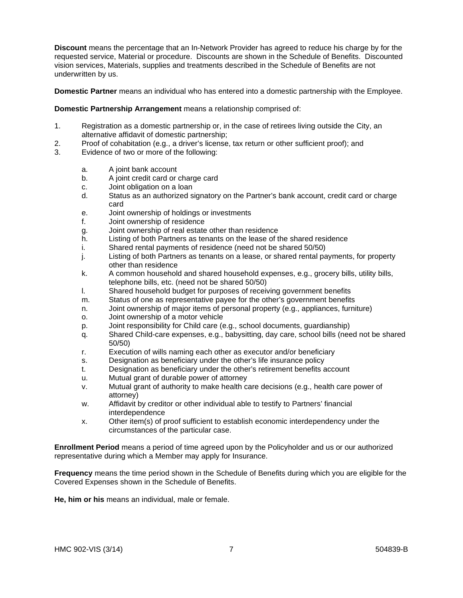**Discount** means the percentage that an In-Network Provider has agreed to reduce his charge by for the requested service, Material or procedure. Discounts are shown in the Schedule of Benefits. Discounted vision services, Materials, supplies and treatments described in the Schedule of Benefits are not underwritten by us.

**Domestic Partner** means an individual who has entered into a domestic partnership with the Employee.

#### **Domestic Partnership Arrangement** means a relationship comprised of:

- 1. Registration as a domestic partnership or, in the case of retirees living outside the City, an alternative affidavit of domestic partnership;
- 2. Proof of cohabitation (e.g., a driver's license, tax return or other sufficient proof); and
- 3. Evidence of two or more of the following:
	- a. A joint bank account
	- b. A joint credit card or charge card
	- c. Joint obligation on a loan
	- d. Status as an authorized signatory on the Partner's bank account, credit card or charge card
	- e. Joint ownership of holdings or investments
	- f. Joint ownership of residence
	- g. Joint ownership of real estate other than residence
	- h. Listing of both Partners as tenants on the lease of the shared residence
	- i. Shared rental payments of residence (need not be shared 50/50)
	- j. Listing of both Partners as tenants on a lease, or shared rental payments, for property other than residence
	- k. A common household and shared household expenses, e.g., grocery bills, utility bills, telephone bills, etc. (need not be shared 50/50)
	- l. Shared household budget for purposes of receiving government benefits
	- m. Status of one as representative payee for the other's government benefits
	- n. Joint ownership of major items of personal property (e.g., appliances, furniture)
	- o. Joint ownership of a motor vehicle
	- p. Joint responsibility for Child care (e.g., school documents, guardianship)
	- q. Shared Child-care expenses, e.g., babysitting, day care, school bills (need not be shared 50/50)
	- r. Execution of wills naming each other as executor and/or beneficiary
	- s. Designation as beneficiary under the other's life insurance policy
	- t. Designation as beneficiary under the other's retirement benefits account
	- u. Mutual grant of durable power of attorney
	- v. Mutual grant of authority to make health care decisions (e.g., health care power of attorney)
	- w. Affidavit by creditor or other individual able to testify to Partners' financial interdependence
	- x. Other item(s) of proof sufficient to establish economic interdependency under the circumstances of the particular case.

**Enrollment Period** means a period of time agreed upon by the Policyholder and us or our authorized representative during which a Member may apply for Insurance.

**Frequency** means the time period shown in the Schedule of Benefits during which you are eligible for the Covered Expenses shown in the Schedule of Benefits.

**He, him or his** means an individual, male or female.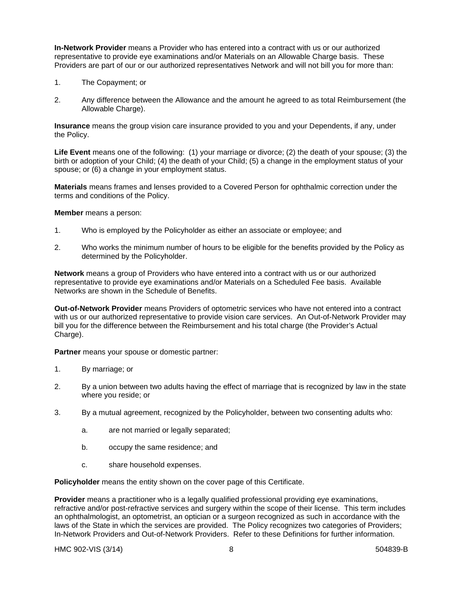**In-Network Provider** means a Provider who has entered into a contract with us or our authorized representative to provide eye examinations and/or Materials on an Allowable Charge basis. These Providers are part of our or our authorized representatives Network and will not bill you for more than:

- 1. The Copayment; or
- 2. Any difference between the Allowance and the amount he agreed to as total Reimbursement (the Allowable Charge).

**Insurance** means the group vision care insurance provided to you and your Dependents, if any, under the Policy.

**Life Event** means one of the following: (1) your marriage or divorce; (2) the death of your spouse; (3) the birth or adoption of your Child; (4) the death of your Child; (5) a change in the employment status of your spouse; or (6) a change in your employment status.

**Materials** means frames and lenses provided to a Covered Person for ophthalmic correction under the terms and conditions of the Policy.

**Member** means a person:

- 1. Who is employed by the Policyholder as either an associate or employee; and
- 2. Who works the minimum number of hours to be eligible for the benefits provided by the Policy as determined by the Policyholder.

**Network** means a group of Providers who have entered into a contract with us or our authorized representative to provide eye examinations and/or Materials on a Scheduled Fee basis. Available Networks are shown in the Schedule of Benefits.

**Out-of-Network Provider** means Providers of optometric services who have not entered into a contract with us or our authorized representative to provide vision care services. An Out-of-Network Provider may bill you for the difference between the Reimbursement and his total charge (the Provider's Actual Charge).

**Partner** means your spouse or domestic partner:

- 1. By marriage; or
- 2. By a union between two adults having the effect of marriage that is recognized by law in the state where you reside; or
- 3. By a mutual agreement, recognized by the Policyholder, between two consenting adults who:
	- a. are not married or legally separated;
	- b. occupy the same residence; and
	- c. share household expenses.

**Policyholder** means the entity shown on the cover page of this Certificate.

**Provider** means a practitioner who is a legally qualified professional providing eye examinations, refractive and/or post-refractive services and surgery within the scope of their license. This term includes an ophthalmologist, an optometrist, an optician or a surgeon recognized as such in accordance with the laws of the State in which the services are provided. The Policy recognizes two categories of Providers; In-Network Providers and Out-of-Network Providers. Refer to these Definitions for further information.

HMC 902-VIS (3/14) 8 8 504839-B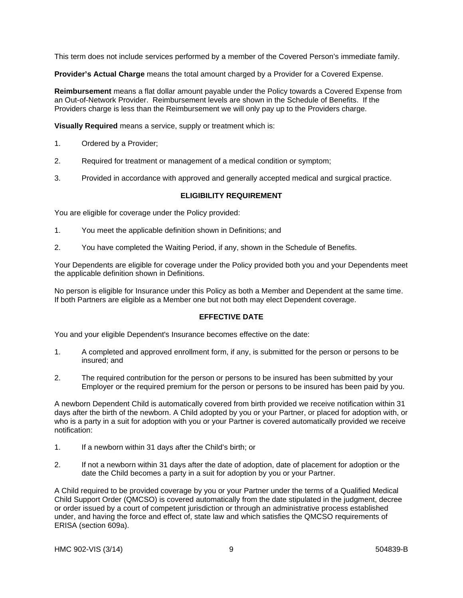This term does not include services performed by a member of the Covered Person's immediate family.

**Provider's Actual Charge** means the total amount charged by a Provider for a Covered Expense.

**Reimbursement** means a flat dollar amount payable under the Policy towards a Covered Expense from an Out-of-Network Provider. Reimbursement levels are shown in the Schedule of Benefits. If the Providers charge is less than the Reimbursement we will only pay up to the Providers charge.

**Visually Required** means a service, supply or treatment which is:

- 1. Ordered by a Provider;
- 2. Required for treatment or management of a medical condition or symptom;
- 3. Provided in accordance with approved and generally accepted medical and surgical practice.

# **ELIGIBILITY REQUIREMENT**

You are eligible for coverage under the Policy provided:

- 1. You meet the applicable definition shown in Definitions; and
- 2. You have completed the Waiting Period, if any, shown in the Schedule of Benefits.

Your Dependents are eligible for coverage under the Policy provided both you and your Dependents meet the applicable definition shown in Definitions.

No person is eligible for Insurance under this Policy as both a Member and Dependent at the same time. If both Partners are eligible as a Member one but not both may elect Dependent coverage.

### **EFFECTIVE DATE**

You and your eligible Dependent's Insurance becomes effective on the date:

- 1. A completed and approved enrollment form, if any, is submitted for the person or persons to be insured; and
- 2. The required contribution for the person or persons to be insured has been submitted by your Employer or the required premium for the person or persons to be insured has been paid by you.

A newborn Dependent Child is automatically covered from birth provided we receive notification within 31 days after the birth of the newborn. A Child adopted by you or your Partner, or placed for adoption with, or who is a party in a suit for adoption with you or your Partner is covered automatically provided we receive notification:

- 1. If a newborn within 31 days after the Child's birth; or
- 2. If not a newborn within 31 days after the date of adoption, date of placement for adoption or the date the Child becomes a party in a suit for adoption by you or your Partner.

A Child required to be provided coverage by you or your Partner under the terms of a Qualified Medical Child Support Order (QMCSO) is covered automatically from the date stipulated in the judgment, decree or order issued by a court of competent jurisdiction or through an administrative process established under, and having the force and effect of, state law and which satisfies the QMCSO requirements of ERISA (section 609a).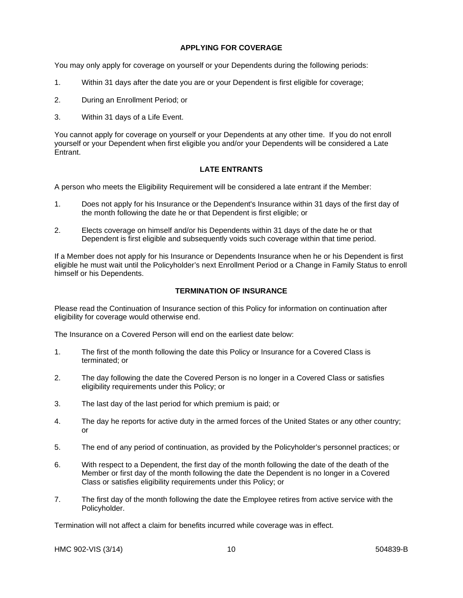## **APPLYING FOR COVERAGE**

You may only apply for coverage on yourself or your Dependents during the following periods:

- 1. Within 31 days after the date you are or your Dependent is first eligible for coverage;
- 2. During an Enrollment Period; or
- 3. Within 31 days of a Life Event.

You cannot apply for coverage on yourself or your Dependents at any other time. If you do not enroll yourself or your Dependent when first eligible you and/or your Dependents will be considered a Late **Entrant** 

#### **LATE ENTRANTS**

A person who meets the Eligibility Requirement will be considered a late entrant if the Member:

- 1. Does not apply for his Insurance or the Dependent's Insurance within 31 days of the first day of the month following the date he or that Dependent is first eligible; or
- 2. Elects coverage on himself and/or his Dependents within 31 days of the date he or that Dependent is first eligible and subsequently voids such coverage within that time period.

If a Member does not apply for his Insurance or Dependents Insurance when he or his Dependent is first eligible he must wait until the Policyholder's next Enrollment Period or a Change in Family Status to enroll himself or his Dependents.

#### **TERMINATION OF INSURANCE**

Please read the Continuation of Insurance section of this Policy for information on continuation after eligibility for coverage would otherwise end.

The Insurance on a Covered Person will end on the earliest date below:

- 1. The first of the month following the date this Policy or Insurance for a Covered Class is terminated; or
- 2. The day following the date the Covered Person is no longer in a Covered Class or satisfies eligibility requirements under this Policy; or
- 3. The last day of the last period for which premium is paid; or
- 4. The day he reports for active duty in the armed forces of the United States or any other country; or
- 5. The end of any period of continuation, as provided by the Policyholder's personnel practices; or
- 6. With respect to a Dependent, the first day of the month following the date of the death of the Member or first day of the month following the date the Dependent is no longer in a Covered Class or satisfies eligibility requirements under this Policy; or
- 7. The first day of the month following the date the Employee retires from active service with the Policyholder.

Termination will not affect a claim for benefits incurred while coverage was in effect.

HMC 902-VIS (3/14) 10 504839-B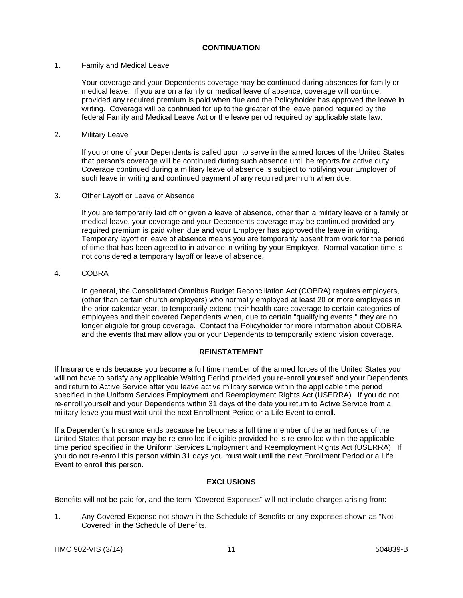#### **CONTINUATION**

#### 1. Family and Medical Leave

Your coverage and your Dependents coverage may be continued during absences for family or medical leave. If you are on a family or medical leave of absence, coverage will continue, provided any required premium is paid when due and the Policyholder has approved the leave in writing. Coverage will be continued for up to the greater of the leave period required by the federal Family and Medical Leave Act or the leave period required by applicable state law.

### 2. Military Leave

If you or one of your Dependents is called upon to serve in the armed forces of the United States that person's coverage will be continued during such absence until he reports for active duty. Coverage continued during a military leave of absence is subject to notifying your Employer of such leave in writing and continued payment of any required premium when due.

#### 3. Other Layoff or Leave of Absence

If you are temporarily laid off or given a leave of absence, other than a military leave or a family or medical leave, your coverage and your Dependents coverage may be continued provided any required premium is paid when due and your Employer has approved the leave in writing. Temporary layoff or leave of absence means you are temporarily absent from work for the period of time that has been agreed to in advance in writing by your Employer. Normal vacation time is not considered a temporary layoff or leave of absence.

## 4. COBRA

In general, the Consolidated Omnibus Budget Reconciliation Act (COBRA) requires employers, (other than certain church employers) who normally employed at least 20 or more employees in the prior calendar year, to temporarily extend their health care coverage to certain categories of employees and their covered Dependents when, due to certain "qualifying events," they are no longer eligible for group coverage. Contact the Policyholder for more information about COBRA and the events that may allow you or your Dependents to temporarily extend vision coverage.

#### **REINSTATEMENT**

If Insurance ends because you become a full time member of the armed forces of the United States you will not have to satisfy any applicable Waiting Period provided you re-enroll yourself and your Dependents and return to Active Service after you leave active military service within the applicable time period specified in the Uniform Services Employment and Reemployment Rights Act (USERRA). If you do not re-enroll yourself and your Dependents within 31 days of the date you return to Active Service from a military leave you must wait until the next Enrollment Period or a Life Event to enroll.

If a Dependent's Insurance ends because he becomes a full time member of the armed forces of the United States that person may be re-enrolled if eligible provided he is re-enrolled within the applicable time period specified in the Uniform Services Employment and Reemployment Rights Act (USERRA). If you do not re-enroll this person within 31 days you must wait until the next Enrollment Period or a Life Event to enroll this person.

## **EXCLUSIONS**

Benefits will not be paid for, and the term "Covered Expenses" will not include charges arising from:

1. Any Covered Expense not shown in the Schedule of Benefits or any expenses shown as "Not Covered" in the Schedule of Benefits.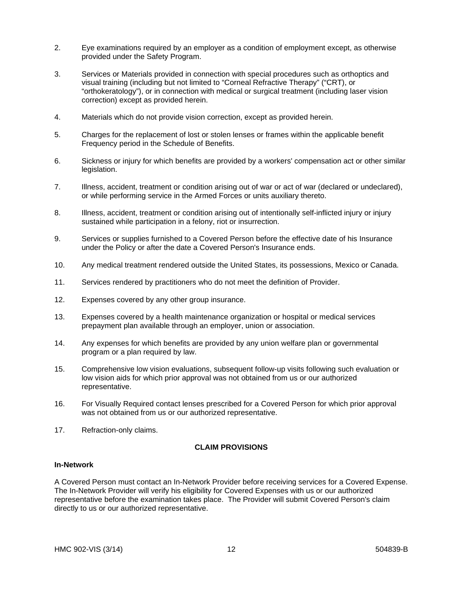- 2. Eye examinations required by an employer as a condition of employment except, as otherwise provided under the Safety Program.
- 3. Services or Materials provided in connection with special procedures such as orthoptics and visual training (including but not limited to "Corneal Refractive Therapy" ("CRT), or "orthokeratology"), or in connection with medical or surgical treatment (including laser vision correction) except as provided herein.
- 4. Materials which do not provide vision correction, except as provided herein.
- 5. Charges for the replacement of lost or stolen lenses or frames within the applicable benefit Frequency period in the Schedule of Benefits.
- 6. Sickness or injury for which benefits are provided by a workers' compensation act or other similar legislation.
- 7. Illness, accident, treatment or condition arising out of war or act of war (declared or undeclared), or while performing service in the Armed Forces or units auxiliary thereto.
- 8. Illness, accident, treatment or condition arising out of intentionally self-inflicted injury or injury sustained while participation in a felony, riot or insurrection.
- 9. Services or supplies furnished to a Covered Person before the effective date of his Insurance under the Policy or after the date a Covered Person's Insurance ends.
- 10. Any medical treatment rendered outside the United States, its possessions, Mexico or Canada.
- 11. Services rendered by practitioners who do not meet the definition of Provider.
- 12. Expenses covered by any other group insurance.
- 13. Expenses covered by a health maintenance organization or hospital or medical services prepayment plan available through an employer, union or association.
- 14. Any expenses for which benefits are provided by any union welfare plan or governmental program or a plan required by law.
- 15. Comprehensive low vision evaluations, subsequent follow-up visits following such evaluation or low vision aids for which prior approval was not obtained from us or our authorized representative.
- 16. For Visually Required contact lenses prescribed for a Covered Person for which prior approval was not obtained from us or our authorized representative.
- 17. Refraction-only claims.

#### **CLAIM PROVISIONS**

#### **In-Network**

A Covered Person must contact an In-Network Provider before receiving services for a Covered Expense. The In-Network Provider will verify his eligibility for Covered Expenses with us or our authorized representative before the examination takes place. The Provider will submit Covered Person's claim directly to us or our authorized representative.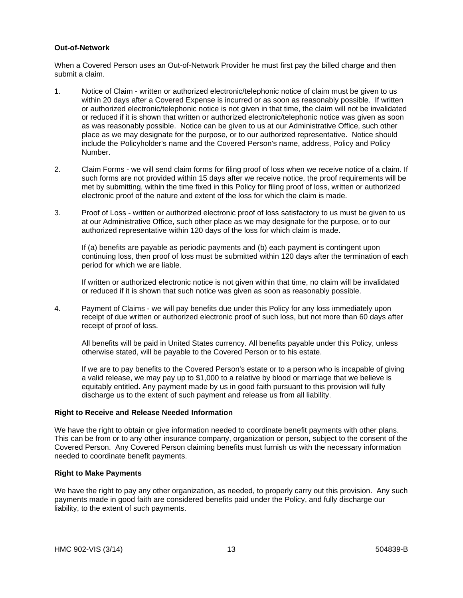#### **Out-of-Network**

When a Covered Person uses an Out-of-Network Provider he must first pay the billed charge and then submit a claim.

- 1. Notice of Claim written or authorized electronic/telephonic notice of claim must be given to us within 20 days after a Covered Expense is incurred or as soon as reasonably possible. If written or authorized electronic/telephonic notice is not given in that time, the claim will not be invalidated or reduced if it is shown that written or authorized electronic/telephonic notice was given as soon as was reasonably possible. Notice can be given to us at our Administrative Office, such other place as we may designate for the purpose, or to our authorized representative. Notice should include the Policyholder's name and the Covered Person's name, address, Policy and Policy Number.
- 2. Claim Forms we will send claim forms for filing proof of loss when we receive notice of a claim. If such forms are not provided within 15 days after we receive notice, the proof requirements will be met by submitting, within the time fixed in this Policy for filing proof of loss, written or authorized electronic proof of the nature and extent of the loss for which the claim is made.
- 3. Proof of Loss written or authorized electronic proof of loss satisfactory to us must be given to us at our Administrative Office, such other place as we may designate for the purpose, or to our authorized representative within 120 days of the loss for which claim is made.

If (a) benefits are payable as periodic payments and (b) each payment is contingent upon continuing loss, then proof of loss must be submitted within 120 days after the termination of each period for which we are liable.

If written or authorized electronic notice is not given within that time, no claim will be invalidated or reduced if it is shown that such notice was given as soon as reasonably possible.

4. Payment of Claims - we will pay benefits due under this Policy for any loss immediately upon receipt of due written or authorized electronic proof of such loss, but not more than 60 days after receipt of proof of loss.

All benefits will be paid in United States currency. All benefits payable under this Policy, unless otherwise stated, will be payable to the Covered Person or to his estate.

If we are to pay benefits to the Covered Person's estate or to a person who is incapable of giving a valid release, we may pay up to \$1,000 to a relative by blood or marriage that we believe is equitably entitled. Any payment made by us in good faith pursuant to this provision will fully discharge us to the extent of such payment and release us from all liability.

#### **Right to Receive and Release Needed Information**

We have the right to obtain or give information needed to coordinate benefit payments with other plans. This can be from or to any other insurance company, organization or person, subject to the consent of the Covered Person. Any Covered Person claiming benefits must furnish us with the necessary information needed to coordinate benefit payments.

#### **Right to Make Payments**

We have the right to pay any other organization, as needed, to properly carry out this provision. Any such payments made in good faith are considered benefits paid under the Policy, and fully discharge our liability, to the extent of such payments.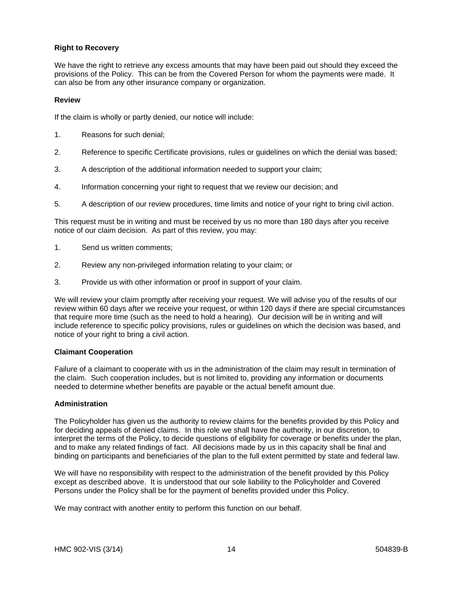## **Right to Recovery**

We have the right to retrieve any excess amounts that may have been paid out should they exceed the provisions of the Policy. This can be from the Covered Person for whom the payments were made. It can also be from any other insurance company or organization.

#### **Review**

If the claim is wholly or partly denied, our notice will include:

- 1. Reasons for such denial;
- 2. Reference to specific Certificate provisions, rules or guidelines on which the denial was based;
- 3. A description of the additional information needed to support your claim;
- 4. Information concerning your right to request that we review our decision; and
- 5. A description of our review procedures, time limits and notice of your right to bring civil action.

This request must be in writing and must be received by us no more than 180 days after you receive notice of our claim decision. As part of this review, you may:

- 1. Send us written comments;
- 2. Review any non-privileged information relating to your claim; or
- 3. Provide us with other information or proof in support of your claim.

We will review your claim promptly after receiving your request. We will advise you of the results of our review within 60 days after we receive your request, or within 120 days if there are special circumstances that require more time (such as the need to hold a hearing). Our decision will be in writing and will include reference to specific policy provisions, rules or guidelines on which the decision was based, and notice of your right to bring a civil action.

#### **Claimant Cooperation**

Failure of a claimant to cooperate with us in the administration of the claim may result in termination of the claim. Such cooperation includes, but is not limited to, providing any information or documents needed to determine whether benefits are payable or the actual benefit amount due.

#### **Administration**

The Policyholder has given us the authority to review claims for the benefits provided by this Policy and for deciding appeals of denied claims. In this role we shall have the authority, in our discretion, to interpret the terms of the Policy, to decide questions of eligibility for coverage or benefits under the plan, and to make any related findings of fact. All decisions made by us in this capacity shall be final and binding on participants and beneficiaries of the plan to the full extent permitted by state and federal law.

We will have no responsibility with respect to the administration of the benefit provided by this Policy except as described above. It is understood that our sole liability to the Policyholder and Covered Persons under the Policy shall be for the payment of benefits provided under this Policy.

We may contract with another entity to perform this function on our behalf.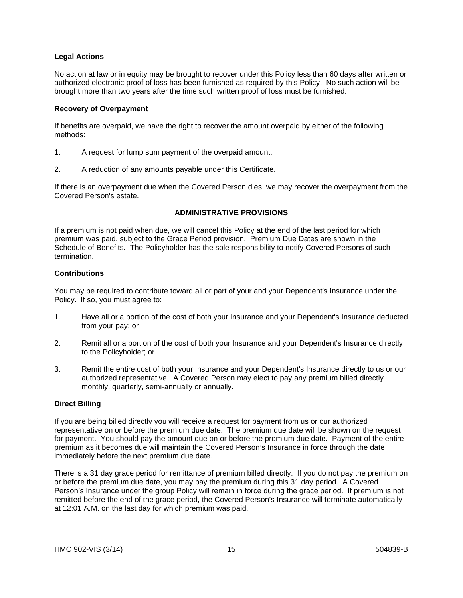## **Legal Actions**

No action at law or in equity may be brought to recover under this Policy less than 60 days after written or authorized electronic proof of loss has been furnished as required by this Policy. No such action will be brought more than two years after the time such written proof of loss must be furnished.

#### **Recovery of Overpayment**

If benefits are overpaid, we have the right to recover the amount overpaid by either of the following methods:

- 1. A request for lump sum payment of the overpaid amount.
- 2. A reduction of any amounts payable under this Certificate.

If there is an overpayment due when the Covered Person dies, we may recover the overpayment from the Covered Person's estate.

### **ADMINISTRATIVE PROVISIONS**

If a premium is not paid when due, we will cancel this Policy at the end of the last period for which premium was paid, subject to the Grace Period provision. Premium Due Dates are shown in the Schedule of Benefits*.* The Policyholder has the sole responsibility to notify Covered Persons of such termination.

### **Contributions**

You may be required to contribute toward all or part of your and your Dependent's Insurance under the Policy. If so, you must agree to:

- 1. Have all or a portion of the cost of both your Insurance and your Dependent's Insurance deducted from your pay; or
- 2. Remit all or a portion of the cost of both your Insurance and your Dependent's Insurance directly to the Policyholder; or
- 3. Remit the entire cost of both your Insurance and your Dependent's Insurance directly to us or our authorized representative. A Covered Person may elect to pay any premium billed directly monthly, quarterly, semi-annually or annually.

#### **Direct Billing**

If you are being billed directly you will receive a request for payment from us or our authorized representative on or before the premium due date. The premium due date will be shown on the request for payment. You should pay the amount due on or before the premium due date. Payment of the entire premium as it becomes due will maintain the Covered Person's Insurance in force through the date immediately before the next premium due date.

There is a 31 day grace period for remittance of premium billed directly. If you do not pay the premium on or before the premium due date, you may pay the premium during this 31 day period. A Covered Person's Insurance under the group Policy will remain in force during the grace period. If premium is not remitted before the end of the grace period, the Covered Person's Insurance will terminate automatically at 12:01 A.M. on the last day for which premium was paid.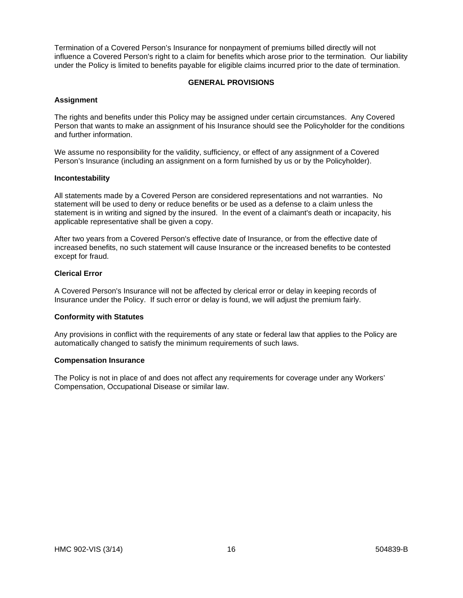Termination of a Covered Person's Insurance for nonpayment of premiums billed directly will not influence a Covered Person's right to a claim for benefits which arose prior to the termination. Our liability under the Policy is limited to benefits payable for eligible claims incurred prior to the date of termination.

## **GENERAL PROVISIONS**

#### **Assignment**

The rights and benefits under this Policy may be assigned under certain circumstances. Any Covered Person that wants to make an assignment of his Insurance should see the Policyholder for the conditions and further information.

We assume no responsibility for the validity, sufficiency, or effect of any assignment of a Covered Person's Insurance (including an assignment on a form furnished by us or by the Policyholder).

#### **Incontestability**

All statements made by a Covered Person are considered representations and not warranties. No statement will be used to deny or reduce benefits or be used as a defense to a claim unless the statement is in writing and signed by the insured. In the event of a claimant's death or incapacity, his applicable representative shall be given a copy.

After two years from a Covered Person's effective date of Insurance, or from the effective date of increased benefits, no such statement will cause Insurance or the increased benefits to be contested except for fraud.

## **Clerical Error**

A Covered Person's Insurance will not be affected by clerical error or delay in keeping records of Insurance under the Policy. If such error or delay is found, we will adjust the premium fairly.

#### **Conformity with Statutes**

Any provisions in conflict with the requirements of any state or federal law that applies to the Policy are automatically changed to satisfy the minimum requirements of such laws.

#### **Compensation Insurance**

The Policy is not in place of and does not affect any requirements for coverage under any Workers' Compensation, Occupational Disease or similar law.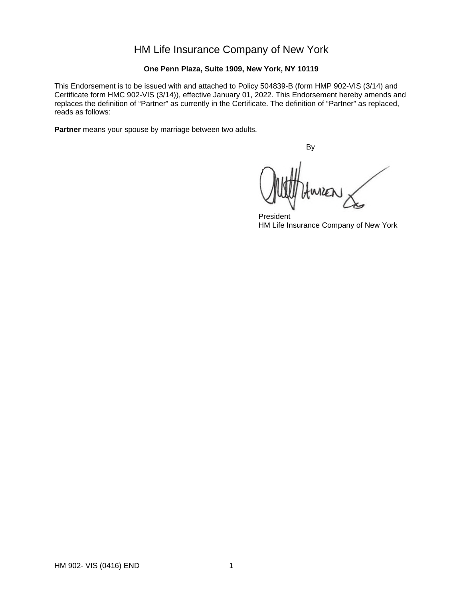# HM Life Insurance Company of New York

## **One Penn Plaza, Suite 1909, New York, NY 10119**

This Endorsement is to be issued with and attached to Policy 504839-B (form HMP 902-VIS (3/14) and Certificate form HMC 902-VIS (3/14)), effective January 01, 2022. This Endorsement hereby amends and replaces the definition of "Partner" as currently in the Certificate. The definition of "Partner" as replaced, reads as follows:

**Partner** means your spouse by marriage between two adults.

By

WILLO

President HM Life Insurance Company of New York